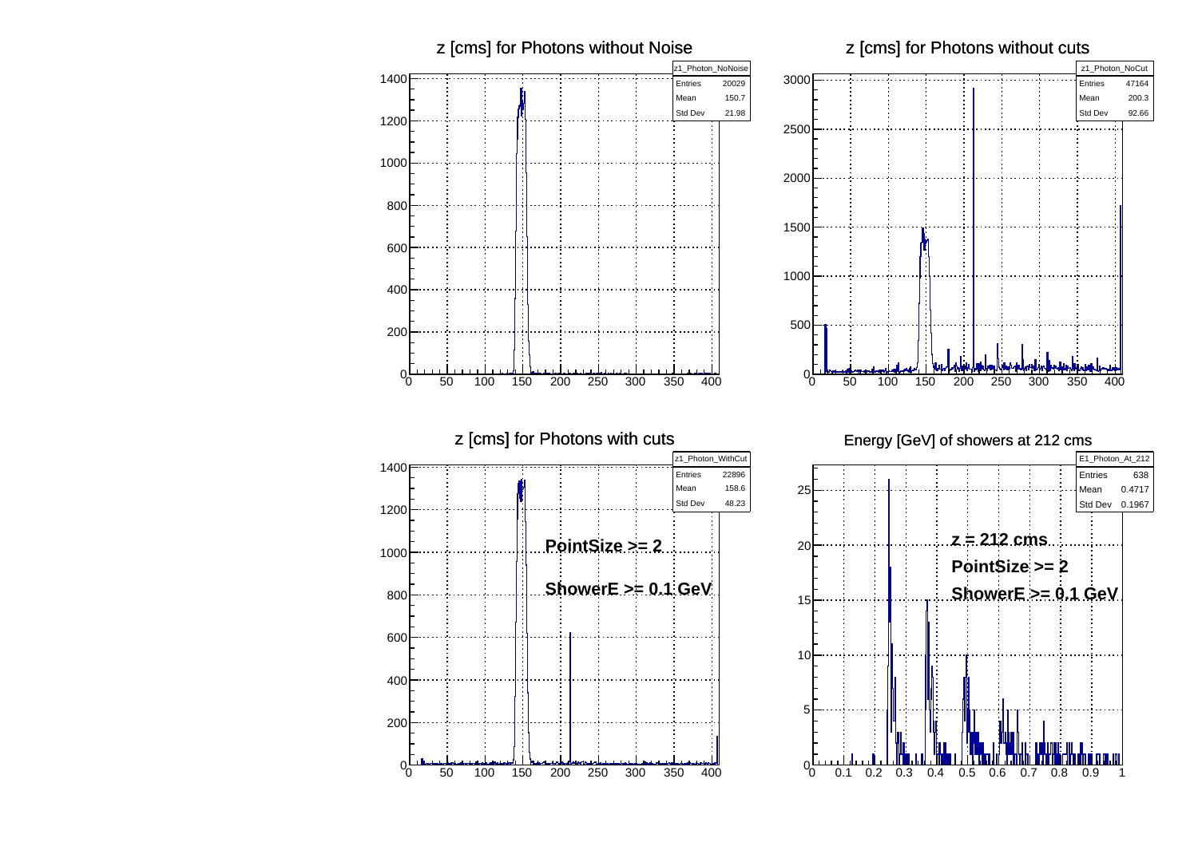